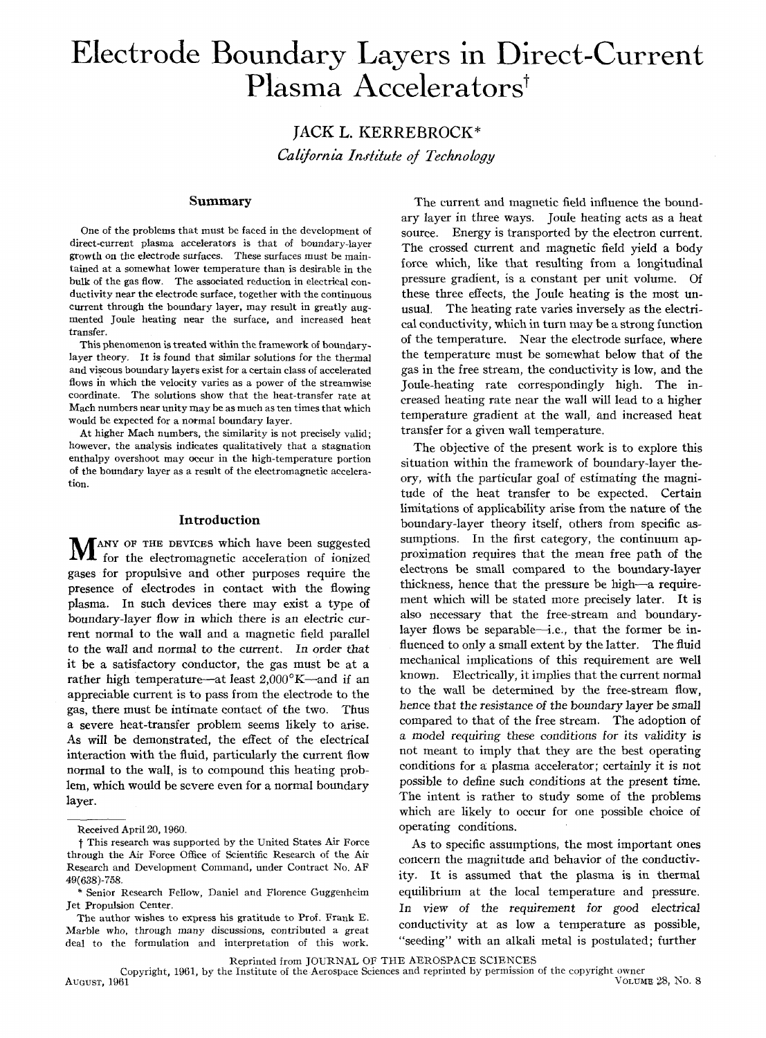# **Electrode Boundary Layers in Direct-Current**  Plasma Accelerators<sup>†</sup>

**JACK L.** KERREBROCK\* *California Inri/tute oj Technology* 

# **Summary**

One of the problems that must be faced in the development of direct-current plasma accelerators is that of boundary-layer growth on the electrode suriaces. These surfaces must be maintained at a somewhat lower temperature than is desirable in the bulk of the gas flow. The associated reduction in electrical conductivity near the electrode surface. together with the continuous current through the boundary layer. may result in greatly augmented Joule heating near the surface. and increased heat transfer.

This phenomenon is treated within the framework of boundarylayer theory. It is found that similar solutions for the thermal and viscous boundary layers exist for a certain class of accelerated flows in which the velocity varies as a power of the streamwise coordinate. The solutions show that the heat-transfer rate at Mach numbers near unity may be as much as ten times that which would be expected for a normal boundary layer.

At higher Mach numbers. the similarity is not precisely valid; however. the analysis indicates qualitatively that a stagnation enthalpy overshoot may occur in the high-temperature portion of the boundary layer as a result of the electromagnetic acceleration.

## **Introduction**

MANY OF THE DEVICES which have been suggested for the electromagnetic acceleration of ionized gases for propulsive and other purposes require the presence of electrodes in contact with the flowing plasma. In such devices there may exist a type of boundary-layer flow in which there *is* an electric current normal to the wall and a magnetic field parallel to the wall and normal to the current. In order that it be a satisfactory conductor, the gas must be at a rather high temperature-at least  $2,000^{\circ}K$ -and if an appreciable current is to pass from the electrode to the gas, there must be intimate contact of the two. Thus a severe heat-transfer problem seems likely to arise. As will be demonstrated, the effect of the electrical interaction with the fluid, particularly the current flow normal to the wall, is to compound this heating problem, which would be severe even for a normal boundary layer.

The current and magnetic field influence the boundary layer in three ways. Joule heating acts as a heat source. Energy is transported by the electron current. The crossed current and magnetic field yield a body force which, like that resulting from a longitudinal pressure gradient, is a constant per unit volume. Of these three effects, the Joule heating is the most unusual. The heating rate varies inversely as the electrical conductivity, which in turn may be a strong function of the temperature. Near the electrode surface, where the temperature must be somewhat below that of the gas in the free stream, the conductivity is low, and the Joule-heating rate correspondingly high. The increased heating rate near the wall will lead to a higher temperature gradient at the wall, and increased heat transfer for a given wall temperature.

The objective of the present work is to explore this situation within the framework of boundary-layer theory, with the particular goal of estimating the magnitude of the heat transfer to be expected. Certain limitations of applicability arise from the nature of the boundary-layer theory itself, others from specific assumptions. In the first category, the continuum approximation requires that the mean free path of the electrons be small compared to the boundary-layer thickness, hence that the pressure be high-a requirement which will be stated more precisely later. It is also necessary that the free-stream and boundarylayer flows be separable-i.e., that the former be influenced to only a small extent by the latter. The fluid mechanical implications of this requirement are well known. Electrically, it implies that the current normal to the wall be determined by the free-stream flow, hence that the resistance of the boundary *layer* be *small*  compared to that of the free stream. The adoption of a model requiring these conditions for its validity is not meant to imply that they are the best operating conditions for a plasma accelerator; certainly it is *not*  possible to define such conditions at the present time. The intent is rather to study some of the problems which are likely to occur for one possible choice of Received April 20, 1960. **c** conditions.

\* Senior Research Fellow. Daniel and Florence Guggenheim equilibrium at the local temperature and pressure. Jet Propulsion Center. *In view* of the requirement for good electrical

Reprinted from JOURNAL OF THE AEROSPACE SCIENCES

Copyright, 1961, by the Institute of the Aerospace Sciences and reprinted by permission of the copyright owner<br>Volume 28, No. 8

t This research was supported by the United States Air Force As to specific assumptions, the most important ones through the Air Force Office of Scientific Research of the Air through the Air Force Office of Scientific Research of the Air<br>Research and Development Command, under Contract No. AF Acsearch and Development Command, under Contract 130. Archives ity. It is assumed that the plasma is in thermal 49(638)-758.

The author wishes to express his gratitude to Prof. Frank E. The author wishes to express ins gratitude to Froi. Frank E.<br>Marble who, through many discussions, contributed a great conductivity at as low a temperature as possible,<br>deal to the formulation and interpretation of this wo deal to the formulation and interpretation of this work.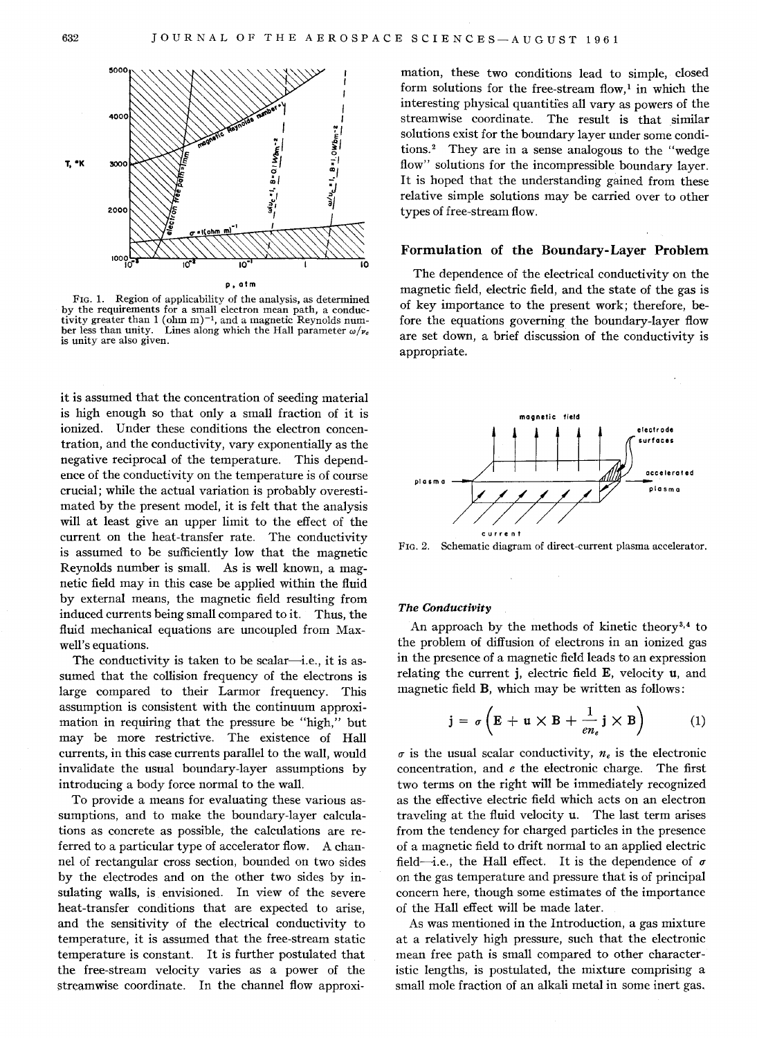

FIG. 1. Region of applicability of the analysis, as determined by the requirements for a small electron mean path, a conductivity greater than 1 (ohm m)<sup>-1</sup>, and a magnetic Reynolds num-<br>ber less than unity. Lines along which the Hall parameter  $\omega/\nu_e$ ber less than unity. Lines along which the Hall parameter  $\omega/\nu_c$  is unity are also given.

it is assumed that the concentration of seeding material is high enough so that only a small fraction of it is ionized. Under these conditions the electron concentration, and the conductivity, vary exponentially as the negative reciprocal of the temperature. This dependence of the conductivity on the temperature is of course crucial; while the actual variation is probably overestimated by the present model, it is felt that the analysis will at least give an upper limit to the effect of the current on the heat-transfer rate. The conductivity is assumed to be sufficiently low that the magnetic Reynolds number is small. As is well known, a magnetic field may in this case be applied within the fluid by external means, the magnetic field resulting from induced currents being small compared to it. Thus, the fluid mechanical equations are uncoupled from Maxwell's equations.

The conductivity is taken to be scalar—i.e., it is assumed that the collision frequency of the electrons is large compared to their Larmor frequency. This assumption is consistent with the continuum approximation in requiring that the pressure be "high," but may be more restrictive. The existence of Hall currents, in this case currents parallel to the wall, would invalidate the usual boundary-layer assumptions by introducing a body force normal to the wall.

To provide a means for evaluating these various assumptions, and to make the boundary-layer calculations as concrete as possible, the calculations are referred to a particular type of accelerator flow. A channel of rectangular cross section, bounded on two sides by the electrodes and on the other two sides by insulating walls, is envisioned. In view of the severe heat-transfer conditions that are expected to arise, and the sensitivity of the electrical conductivity to temperature, it is assumed that the free-stream static temperature is constant. It is further postulated that the free-stream velocity varies as a power of the streamwise coordinate. In the channel flow approxi-

mation, these two conditions lead to simple, closed form solutions for the free-stream flow,<sup>1</sup> in which the interesting physical quantities all vary as powers of the streamwise coordinate. The result is that similar solutions exist for the boundary layer under some conditions.<sup>2</sup> They are in a sense analogous to the "wedge flow" solutions for the incompressible boundary layer. It is hoped that the understanding gained from these relative simple solutions may be carried over to other types of free-stream flow.

# Formulation of the Boundary-Layer Problem

The dependence of the electrical conductivity on the magnetic field, electric field, and the state of the gas is of key importance to the present work; therefore, before the equations governing the boundary-layer flow are set down, a brief discussion of the conductivity is appropriate.



FIG. 2. Schematic diagram of direct-current plasma accelerator.

### *The Conductivity*

An approach by the methods of kinetic theory $3,4$  to the problem of diffusion of electrons in an ionized gas in the presence of a magnetic field leads to an expression relating the current j, electric field E, velocity u, and magnetic field B, which may be written as follows:

$$
\mathbf{j} = \sigma \left( \mathbf{E} + \mathbf{u} \times \mathbf{B} + \frac{1}{en_e} \mathbf{j} \times \mathbf{B} \right) \tag{1}
$$

 $\sigma$  is the usual scalar conductivity,  $n_e$  is the electronic concentration, and *e* the electronic charge. The first two terms on the right will be immediately recognized as the effective electric field which acts on an electron traveling at the fluid velocity u. The last term arises from the tendency for charged particles in the presence of a magnetic field to drift normal to an applied electric field—i.e., the Hall effect. It is the dependence of  $\sigma$ on the gas temperature and pressure that is of principal concern here, though some estimates of the importance of the Hall effect will be made later.

As was mentioned in the Introduction, a gas mixture at a relatively high pressure, such that the electronic mean free path is small compared to other characteristic lengths, is postulated, the mixture comprising a small mole fraction of an alkali metal in some inert gas.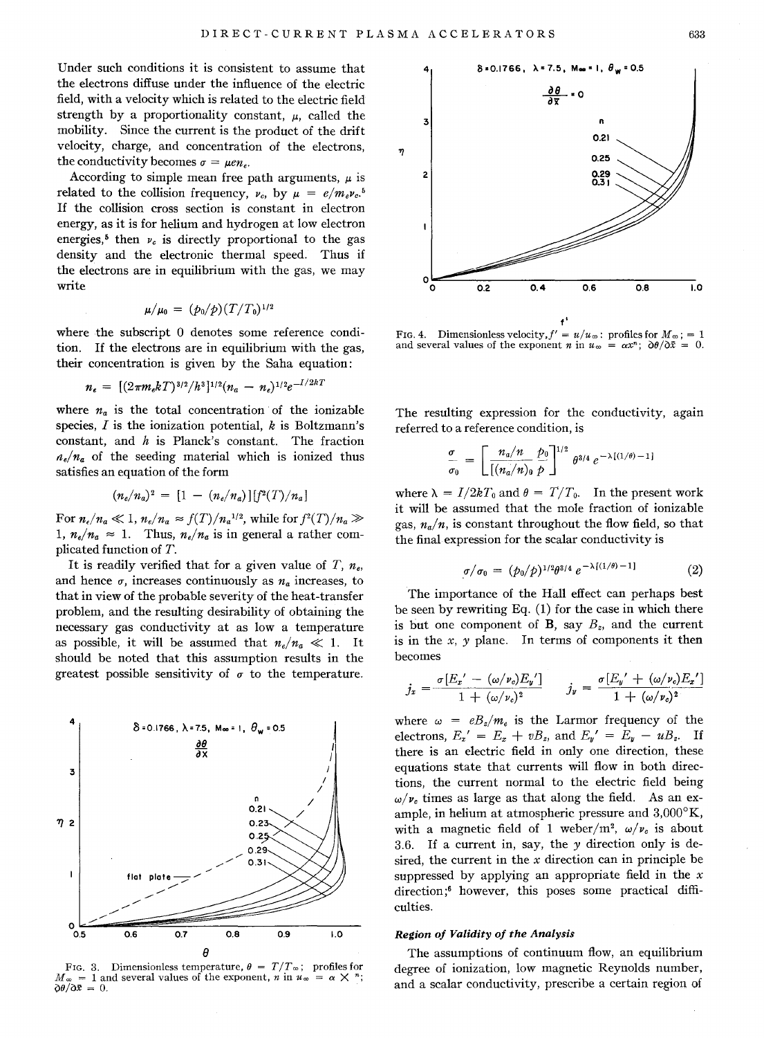Under such conditions it is consistent to assume that the electrons diffuse under the influence of the electric field, with a velocity which is related to the electric field strength by a proportionality constant,  $\mu$ , called the mobility. Since the current is the product of the drift velocity, charge, and concentration of the electrons, the conductivity becomes  $\sigma = \mu e n_e$ .

According to simple mean free path arguments,  $\mu$  is related to the collision frequency,  $v_c$ , by  $\mu = e/m_e v_c$ <sup>5</sup> If the collision cross section is constant in electron energy, as it is for helium and hydrogen at low electron energies,<sup>5</sup> then  $\nu_c$  is directly proportional to the gas density and the electronic thermal speed. Thus if the electrons are in equilibrium with the gas, we may write

$$
\mu/\mu_0 = (p_0/p)(T/T_0)^{1/2}
$$

where the subscript 0 denotes some reference condition. If the electrons are in equilibrium with the gas, their concentration is given by the Saha equation:

$$
n_e = [(2\pi m_e kT)^{3/2}/h^3]^{1/2}(n_a - n_e)^{1/2}e^{-I/2kT}
$$

where  $n_a$  is the total concentration of the ionizable species, *I* is the ionization potential, *k* is Boltzmann's constant, and *h* is Planck's constant. The fraction  $n_e/n_a$  of the seeding material which is ionized thus satisfies an equation of the form

$$
(n_e/n_a)^2 = [1 - (n_e/n_a)][f^2(T)/n_a]
$$

For  $n_e/n_a \ll 1$ ,  $n_e/n_a \approx f(T)/n_a^{1/2}$ , while for  $f^2(T)/n_a \gg$ 1,  $n_e/n_a \approx 1$ . Thus,  $n_e/n_a$  is in general a rather complicated function of *T.* 

It is readily verified that for a given value of  $T$ ,  $n_e$ , and hence  $\sigma$ , increases continuously as  $n_a$  increases, to that in view of the probable severity of the heat-transfer problem, and the resulting desirability of obtaining the necessary gas conductivity at as low a temperature as possible, it will be assumed that  $n_e/n_a \ll 1$ . It should be noted that this assumption results in the greatest possible sensitivity of  $\sigma$  to the temperature.



FIG. 3. Dimensionless temperature,  $\theta = T/T_{\infty}$ ; profiles for  $M_{\infty} = 1$  and several values of the exponent, *n* in  $u_{\infty} = \alpha \times n$ ;  $\partial \theta / \partial \bar{x} = 0.$ 



FIG. 4. Dimensionless velocity,  $f' = u/u_{\infty}$ : profiles for  $M_{\infty}$ ; = 1 and several values of the exponent *n* in  $u_{\infty} = \alpha x^{n}$ ;  $\partial \theta / \partial \bar{x}$ 

The resulting expression for the conductivity, again referred to a reference condition, is

$$
\frac{\sigma}{\sigma_0} = \left[ \frac{n_a/n}{[(n_a/n)_0} \frac{p_0}{p} \right]^{1/2} \theta^{3/4} e^{-\lambda [(1/\theta)-1]}
$$

where  $\lambda = I/2kT_0$  and  $\theta = T/T_0$ . In the present work it will be assumed that the mole fraction of ionizable gas,  $n_a/n$ , is constant throughout the flow field, so that the final expression for the scalar conductivity is

$$
\sigma/\sigma_0 = (\rho_0/p)^{1/2}\theta^{3/4} e^{-\lambda[(1/\theta)-1]}
$$
 (2)

The importance of the Hall effect can perhaps best be seen by rewriting Eq. (1) for the case in which there is but one component of  $\mathbf{B}$ , say  $B_z$ , and the current is in the *x, y* plane. In terms of components it then becomes

$$
j_x = \frac{\sigma[E_x' - (\omega/\nu_c)E_y']}{1 + (\omega/\nu_c)^2} \qquad j_y = \frac{\sigma[E_y' + (\omega/\nu_c)E_x']}{1 + (\omega/\nu_c)^2}
$$

where  $\omega = eB_z/m_e$  is the Larmor frequency of the electrons,  $E_x' = E_x + vB_z$ , and  $E_y' = E_y - uB_z$ . If there is an electric field in only one direction, these equations state that currents will flow in both directions, the current normal to the electric field being  $\omega/\nu_c$  times as large as that along the field. As an example, in helium at atmospheric pressure and  $3,000^{\circ}$ K, with a magnetic field of 1 weber/m<sup>2</sup>,  $\omega/\nu_c$  is about 3.6. If a current in, say, the *y* direction only is desired, the current in the *x* direction can in principle be suppressed by applying an appropriate field in the *x*  direction;6 however, this poses some practical difficulties.

# *Region of Validity of the Analysis*

The assumptions of continuum flow, an equilibrium degree of ionization, low magnetic Reynolds number, and a scalar conductivity, prescribe a certain region of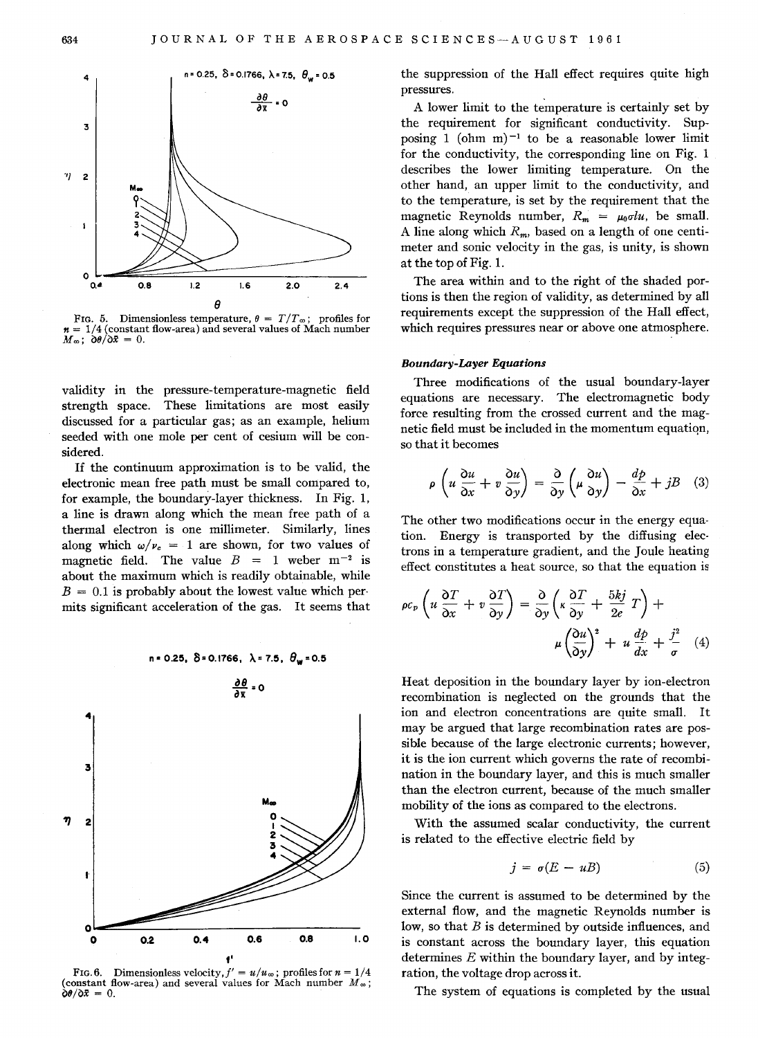

 $n = 1/4$  (constant flow-area) and several values of Mach number  $M_{\infty}$ ;  $\partial \theta / \partial \bar{x} = 0$ .

validity in the pressure-temperature-magnetic field strength space. These limitations are most easily discussed for a particular gas; as an example, helium seeded with one mole per cent of cesium will be considered.

If the continuum approximation is to be valid, the electronic mean free path must be small compared to, for example, the boundary-layer thickness. In Fig. 1, a line is drawn along which the mean free path of a thermal electron is one millimeter. Similarly, lines along which  $\omega/\nu_c = 1$  are shown, for two values of magnetic field. The value  $B = 1$  weber  $m^{-2}$  is about the maximum which is readily obtainable, while  $B = 0.1$  is probably about the lowest value which permits significant acceleration of the gas. It seems that



FIG. 6. Dimensionless velocity,  $f' = u/u_\infty$ ; profiles for  $n = 1/4$ (constant flow-area) and several values for Mach number  $M_{\infty}$ ;  $\dot{\partial}\theta/\partial \bar{x} = 0.$ 

the suppression of the Hall effect requires quite high pressures.

A lower limit to the temperature is certainly set by the requirement for significant conductivity. Supposing 1 (ohm m) $^{-1}$  to be a reasonable lower limit for the conductivity, the corresponding line on Fig. 1 describes the lower limiting temperature. On the other hand, an upper limit to the conductivity, and to the temperature, is set by the requirement that the magnetic Reynolds number,  $R_m = \mu_0 \sigma l u$ , be small. A line along which  $R_m$ , based on a length of one centimeter and sonic velocity in the gas, is unity, is shown at the top of Fig. 1.

The area within and to the right of the shaded portions is then the region of validity, as determined by all requirements except the suppression of the Hall effect, which requires pressures near or above one atmosphere.

#### *Boundary-Layer Equations*

Three modifications of the usual boundary-layer equations are necessary. The electromagnetic body force resulting from the crossed current and the magnetic field must be included in the momentum equatiqn, so that it becomes

$$
\rho \left( u \frac{\partial u}{\partial x} + v \frac{\partial u}{\partial y} \right) = \frac{\partial}{\partial y} \left( \mu \frac{\partial u}{\partial y} \right) - \frac{dp}{\partial x} + jB \quad (3)
$$

The other two modifications occur in the energy equation. Energy is transported by the diffusing electrons in a temperature gradient, and the Joule heating effect constitutes a heat source, so that the equation is

$$
\rho c_p \left( u \frac{\partial T}{\partial x} + v \frac{\partial T}{\partial y} \right) = \frac{\partial}{\partial y} \left( \kappa \frac{\partial T}{\partial y} + \frac{5kj}{2e} T \right) + \mu \left( \frac{\partial u}{\partial y} \right)^2 + u \frac{dp}{dx} + \frac{j^2}{\sigma} \quad (4)
$$

Heat deposition in the boundary layer by ion-electron recombination is neglected on the grounds that the ion and electron concentrations are quite small. It may be argued that large recombination rates are possible because of the large electronic currents; however, it is the ion current which governs the rate of recombination in the boundary layer, and this is much smaller than the electron current, because of the much smaller mobility of the ions as compared to the electrons .

With the assumed scalar conductivity, the current is related to the effective electric field by

$$
j = \sigma(E - uB) \tag{5}
$$

Since the current is assumed to be determined by the external flow, and the magnetic Reynolds number is low, so that *B* is determined by outside influences, and is constant across the boundary layer, this equation determines *E* within the boundary layer, and by integration, the voltage drop across it.

The system of equations is completed by the usual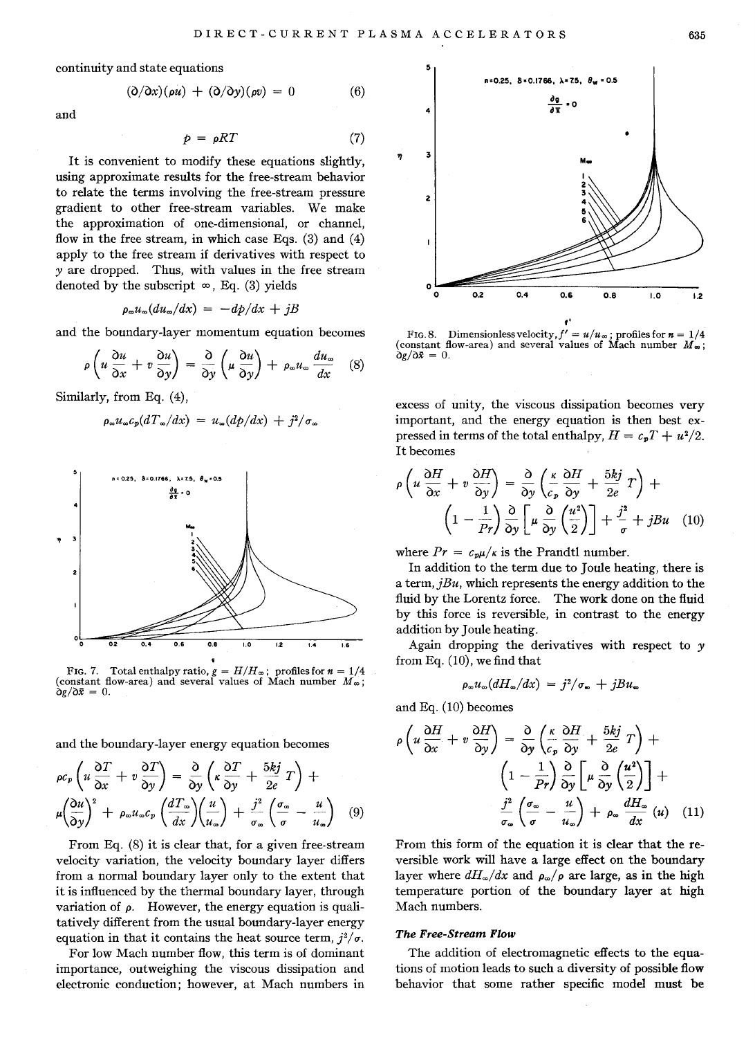continuity and state equations

$$
(\partial/\partial x)(\rho u) + (\partial/\partial y)(\rho v) = 0 \qquad (6)
$$

and

$$
\mathcal{L} = \mathcal{L} \times \mathcal{L} = \mathcal{L} \times \mathcal{L} = \mathcal{L} \times \mathcal{L} = \mathcal{L} \times \mathcal{L} = \mathcal{L} \times \mathcal{L}
$$

$$
p = \rho RT \tag{7}
$$

It is convenient to modify these equations slightly, using approximate results for the free-stream behavior to relate the terms involving the free-stream pressure gradient to other free-stream variables. We make the approximation of one-dimensional, or channel, flow in the free stream, in which case Eqs. (3) and (4) apply to the free stream if derivatives with respect to yare dropped. Thus, with values in the free stream denoted by the subscript  $\infty$ , Eq. (3) yields

$$
\rho_{\omega}u_{\omega}(du_{\omega}/dx) = -dp/dx + jB
$$

and the boundary-layer momentum equation becomes

$$
\rho \left( u \frac{\partial u}{\partial x} + v \frac{\partial u}{\partial y} \right) = \frac{\partial}{\partial y} \left( \mu \frac{\partial u}{\partial y} \right) + \rho_{\infty} u_{\infty} \frac{du_{\infty}}{dx} \quad (8)
$$

Similarly, from Eq. (4),

$$
\rho_{\infty}u_{\infty}c_p(dT_{\infty}/dx) = u_{\infty}(dp/dx) + j^2/\sigma_{\infty}
$$



FIG. 7. Total enthalpy ratio,  $g = H/H_{\infty}$ ; profiles for  $n = 1/4$ (constant flow-area) and several values of Mach number  $M_{\infty}$ ;  $\partial g/\partial \bar{x} = 0$ .

and the boundary-layer energy equation becomes

$$
\rho c_p \left( u \frac{\partial T}{\partial x} + v \frac{\partial T}{\partial y} \right) = \frac{\partial}{\partial y} \left( \kappa \frac{\partial T}{\partial y} + \frac{5kj}{2e} T \right) +
$$
  

$$
\mu \left( \frac{\partial u}{\partial y} \right)^2 + \rho_\infty u_\infty c_p \left( \frac{dT_\infty}{dx} \right) \left( \frac{u}{u_\infty} \right) + \frac{j^2}{\sigma_\infty} \left( \frac{\sigma_\infty}{\sigma} - \frac{u}{u_\infty} \right) \quad (9)
$$

From Eq. (8) it is clear that, for a given free-stream velocity variation, the velocity boundary layer differs from a normal boundary layer only to the extent that it is influenced by the thermal boundary layer, through variation of  $\rho$ . However, the energy equation is qualitatively different from the usual boundary-layer energy equation in that it contains the heat source term,  $i^2/\sigma$ .

For low Mach number flow, this term is of dominant importance, outweighing the viscous dissipation and electronic conduction; however, at Mach numbers in



FIG. 8. Dimensionless velocity,  $f' = u/u_\infty$ ; profiles for  $n = 1/4$ (constant flow-area) and several values of Mach number  $M_{\infty}$ ;  $\frac{\partial g}{\partial \bar{x}} = 0$ .

excess of unity, the viscous dissipation becomes very important, and the energy equation is then best expressed in terms of the total enthalpy,  $H = c_pT + u^2/2$ . It becomes

$$
\rho \left( u \frac{\partial H}{\partial x} + v \frac{\partial H}{\partial y} \right) = \frac{\partial}{\partial y} \left( \frac{\kappa}{c_p} \frac{\partial H}{\partial y} + \frac{5kj}{2e} T \right) + \left( 1 - \frac{1}{Pr} \right) \frac{\partial}{\partial y} \left[ \mu \frac{\partial}{\partial y} \left( \frac{u^2}{2} \right) \right] + \frac{j^2}{\sigma} + jBu \quad (10)
$$

where  $Pr = c_p \mu / \kappa$  is the Prandtl number.

In addition to the term due to Joule heating, there is a term, *jBu,* which represents the energy addition to the fluid by the Lorentz force. The work done on the fluid by this force is reversible, in contrast to the energy addition by Joule heating.

Again dropping the derivatives with respect to *y*  from Eq. (10), we find that

$$
\rho_{\infty}u_{\infty}(dH_{\infty}/dx) = j^2/\sigma_{\infty} + jBu_{\infty}
$$

and Eq. (10) becomes

$$
\rho \left( u \frac{\partial H}{\partial x} + v \frac{\partial H}{\partial y} \right) = \frac{\partial}{\partial y} \left( \frac{\kappa}{c_p} \frac{\partial H}{\partial y} + \frac{5kj}{2e} T \right) +
$$

$$
\left( 1 - \frac{1}{Pr} \right) \frac{\partial}{\partial y} \left[ \mu \frac{\partial}{\partial y} \left( \frac{u^2}{2} \right) \right] +
$$

$$
\frac{j^2}{\sigma_{\infty}} \left( \frac{\sigma_{\infty}}{\sigma} - \frac{u}{u_{\infty}} \right) + \rho_{\infty} \frac{dH_{\infty}}{dx} \left( u \right) \quad (11)
$$

From this form of the equation it is clear that the reversible work will have a large effect on the boundary layer where  $dH_{\infty}/dx$  and  $\rho_{\infty}/\rho$  are large, as in the high temperature portion of the boundary layer at high Mach numbers.

## *The Free-Stream Flow*

The addition of electromagnetic effects to the equations of motion leads to such a diversity of possible flow behavior that some rather specific model must be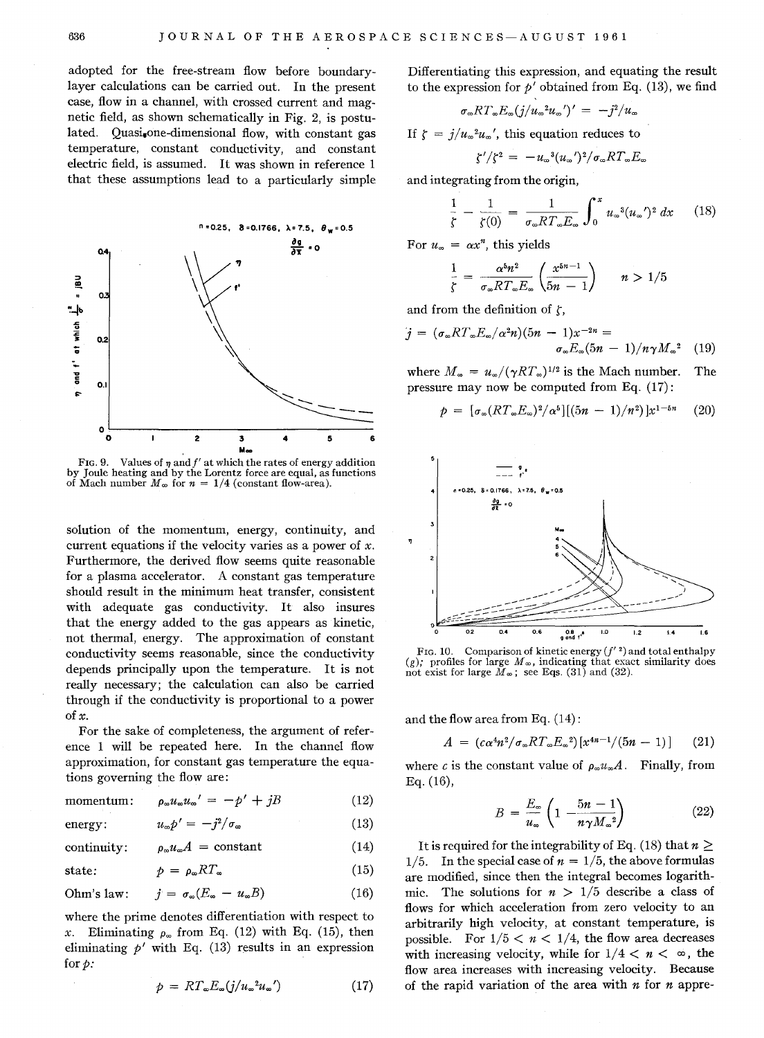adopted for the free-stream flow before boundarylayer calculations can be carried out. In the present case, flow in a channel, with crossed current and magnetic field, as shown schematically in Fig. 2, is postulated. Quasione-dimensional flow, with constant gas temperature, constant conductivity, and constant electric field, is assumed. It was shown in reference 1 that these assumptions lead to a particularly simple



FIG. 9. Values of  $\eta$  and  $f'$  at which the rates of energy addition by Joule heating and by the Lorentz force are equal, as functions of Mach number  $M_{\infty}$  for  $n = 1/4$  (constant flow-area).

solution of the momentum, energy, continuity, and current equations if the velocity varies as a power of *x.*  Furthermore, the derived flow seems quite reasonable for a plasma accelerator. A constant gas temperature should result in the minimum heat transfer, consistent with adequate gas conductivity. It also insures that the energy added to the gas appears as kinetic, not thermal, energy. The approximation of constant conductivity seems reasonable, since the conductivity depends principally upon the temperature. It is not really necessary; the calculation can also be carried through if the conductivity is proportional to a power of  $x$ .

For the sake of completeness, the argument of reference 1 will be repeated here. In the channel flow approximation, for constant gas temperature the equations governing the flow are:

momentum: 
$$
\rho_{\infty} u_{\infty} u_{\infty}' = -p' + jB
$$
 (12)

energy: 
$$
u_{\infty}p' = -j^2/\sigma_{\infty}
$$
 (13)

continuity:  $\rho_{\infty} u_{\infty} A = constant$  (14)

state: 
$$
\qquad \qquad p = \rho_{\infty} R T_{\infty} \qquad (15)
$$

Ohm's law: 
$$
j = \sigma_{\infty}(E_{\infty} - u_{\infty}B)
$$
 (16)

where the prime denotes differentiation with respect to x. Eliminating  $\rho_{\infty}$  from Eq. (12) with Eq. (15), then eliminating  $p'$  with Eq. (13) results in an expression for  $p$ :

$$
\rho = RT_{\omega} E_{\omega} (j/u_{\omega}^{2} u_{\omega}^{\prime}) \qquad (17)
$$

Differentiating this expression, and equating the result to the expression for  $p'$  obtained from Eq. (13), we find

$$
\sigma_{\infty}RT_{\infty}E_{\infty}(j/u_{\infty}^2u_{\infty})' = -j^2/u_{\infty}
$$

If  $\zeta = j/u_{\infty}^2 u_{\infty}$ ', this equation reduces to

$$
\zeta'/\zeta^2 = -u_{\infty}^3 (u_{\infty})^2/\sigma_{\infty} R T_{\infty} E_{\infty}
$$

and integrating from the origin,

$$
\frac{1}{\zeta} - \frac{1}{\zeta(0)} = \frac{1}{\sigma_{\infty} RT_{\infty} E_{\infty}} \int_0^x u_{\infty}^3 (u_{\infty}')^2 dx \qquad (18)
$$

For  $u_{\infty} = \alpha x^{n}$ , this yields

$$
\frac{1}{\zeta} = \frac{\alpha^5 n^2}{\sigma_\infty RT_\infty E_\infty} \left( \frac{x^{5n-1}}{5n-1} \right) \qquad n > 1/5
$$

and from the definition of  $\zeta$ ,

$$
j = (\sigma_{\infty}RT_{\infty}E_{\infty}/\alpha^2n)(5n - 1)x^{-2n} =
$$
  

$$
\sigma_{\infty}E_{\infty}(5n - 1)/n\gamma M_{\infty}^2
$$
 (19)

where  $M_{\infty} = u_{\infty}/(\gamma RT_{\infty})^{1/2}$  is the Mach number. The pressure may now be computed from Eq. (17):

$$
p = [\sigma_{\infty}(RT_{\infty}E_{\infty})^2/\alpha^5] [(5n - 1)/n^2)]x^{1-5n}
$$
 (20)



FIG. 10. Comparison of kinetic energy  $(f'')$  and total enthalpy (g); profiles for large  $M_{\infty}$ , indicating that exact similarity does not exist for large  $M_{\infty}$ ; see Eqs. (31) and (32).

and the flow area from Eq. (14):

$$
A = (c\alpha^4 n^2/\sigma_\infty RT_\infty E_\infty{}^2) [x^{4n-1}/(5n-1)] \qquad (21)
$$

where *c* is the constant value of  $\rho_{\infty} u_{\infty} A$ . Finally, from Eq. (16),

$$
B = \frac{E_{\infty}}{u_{\infty}} \left( 1 - \frac{5n - 1}{n \gamma M_{\infty}^2} \right) \tag{22}
$$

It is required for the integrability of Eq. (18) that  $n \geq$ 1/5. In the special case of  $n = 1/5$ , the above formulas are modified, since then the integral becomes logarithmic. The solutions for  $n > 1/5$  describe a class of flows for which acceleration from zero velocity to an arbitrarily high velocity, at constant temperature, is possible. For  $1/5 < n < 1/4$ , the flow area decreases with increasing velocity, while for  $1/4 < n < \infty$ , the flow area increases with increasing velocity. Because of the rapid variation of the area with *n* for *n* appre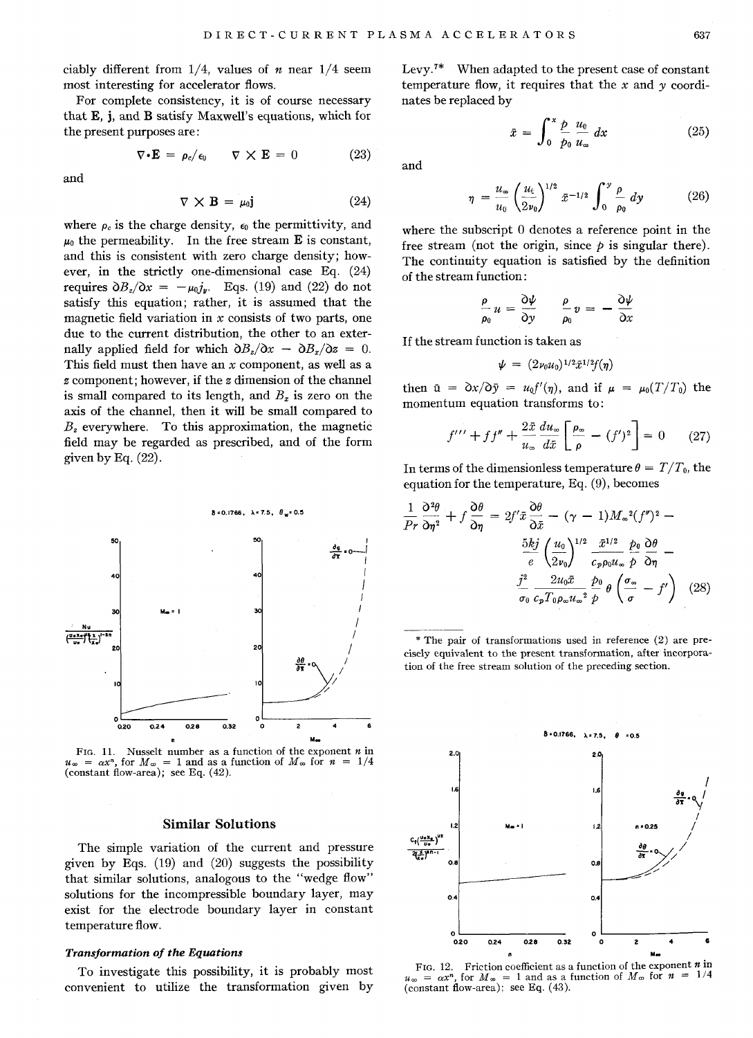ciably different from *1/4,* values of *n* near *1/4* seem most interesting for accelerator flows.

For complete consistency, it is of course necessary that E, j, and B satisfy Maxwell's equations, which for the present purposes are:

$$
\nabla \cdot \mathbf{E} = \rho_c / \epsilon_0 \qquad \nabla \times \mathbf{E} = 0 \tag{23}
$$

and

$$
\nabla \times \mathbf{B} = \mu_0 \mathbf{j} \tag{24}
$$

where  $\rho_c$  is the charge density,  $\epsilon_0$  the permittivity, and  $\mu_0$  the permeability. In the free stream **E** is constant, and this is consistent with zero charge density; however, in the strictly one-dimensional case Eq. (24) requires  $\partial B_z/\partial x = -\mu_0 j_y$ . Eqs. (19) and (22) do not satisfy this equation; rather, it is assumed that the magnetic field variation in *x* consists of two parts, one due to the current distribution, the other to an externally applied field for which  $\partial B_z/\partial x - \partial B_x/\partial z = 0$ . This field must then have an *x* component, as well as a *z* component; however, if the *z* dimension of the channel is small compared to its length, and  $B_x$  is zero on the axis of the channel, then it will be small compared to  $B<sub>z</sub>$  everywhere. To this approximation, the magnetic field may be regarded as prescribed, and of the form given by Eq.  $(22)$ .



FIG. 11. Nusselt number as a function of the exponent *n* in  $u_{\infty} = \alpha x^{n}$ , for  $M_{\infty} = 1$  and as a function of  $M_{\infty}$  for  $n = 1$ (constant flow-area); see Eq. (42).

## **Similar Solutions**

The simple variation of the current and pressure given by Eqs. (19) and (20) suggests the possibility that similar solutions, analogous to the "wedge flow" solutions for the incompressible boundary layer, may exist for the electrode boundary layer in constant temperature flow.

## *Transformation of the Equations*

To investigate this possibility, it is probably most convenient to utilize the transformation given by Levy.7\* When adapted to the present case of constant temperature flow, it requires that the *x* and *y* coordinates be replaced by

$$
\tilde{x} = \int_0^x \frac{p}{p_0} \frac{u_0}{u_{\infty}} dx \qquad (25)
$$

and

$$
\eta = \frac{u_{\infty}}{u_0} \left(\frac{u_{\rm t}}{2v_0}\right)^{1/2} \bar{x}^{-1/2} \int_0^y \frac{\rho}{\rho_0} dy \qquad (26)
$$

where the subscript  $0$  denotes a reference point in the free stream (not the origin, since  $\rho$  is singular there). The continuity equation is satisfied by the definition of the stream function:

$$
\frac{\rho}{\rho_0} u = \frac{\partial \psi}{\partial y} \qquad \frac{\rho}{\rho_0} v = -\frac{\partial \psi}{\partial x}
$$

If the stream function is taken as

$$
\psi = (2\nu_0 u_0)^{1/2} \bar{x}^{1/2} f(\eta)
$$

then  $\bar{u} = \partial x / \partial \bar{y} = u_0 f'(\eta)$ , and if  $\mu = \mu_0(T/T_0)$  the momentum equation transforms to:

$$
f^{\prime\prime\prime} + f f^{\prime\prime} + \frac{2\bar{x}}{u_{\infty}} \frac{du_{\infty}}{d\bar{x}} \left[ \frac{\rho_{\infty}}{\rho} - (f^{\prime})^2 \right] = 0 \qquad (27)
$$

In terms of the dimensionless temperature  $\theta = T/T_0$ , the equation for the temperature, Eq. (9), becomes

$$
\frac{1}{Pr} \frac{\partial^2 \theta}{\partial \eta^2} + f \frac{\partial \theta}{\partial \eta} = 2f' \bar{x} \frac{\partial \theta}{\partial \bar{x}} - (\gamma - 1) M_{\infty}{}^2 (f'')^2 - \frac{5kj}{e} \left( \frac{u_0}{2v_0} \right)^{1/2} \frac{\bar{x}^{1/2}}{c_p \rho_0 u_{\infty}} \frac{\rho_0}{\rho} \frac{\partial \theta}{\partial \eta} - \frac{j^2}{\sigma_0} \frac{2u_0 \bar{x}}{c_p T_0 \rho_{\infty} u_{\infty}} \frac{\rho_0}{\rho} \theta \left( \frac{\sigma_{\infty}}{\sigma} - f' \right) \tag{28}
$$

\* The pair of transformations used in reference (2) are precisely equivalent to the present transformation, after incorporation of the free stream solution of the preceding section.



FIG. 12. Friction coefficient as a function of the exponent *n* in  $u_{\infty} = \alpha x^{n}$ , for  $M_{\infty} = 1$  and as a function of  $M_{\infty}$  for  $n = 1/4$  $\frac{1}{\text{constant}}$  flow-area); see Eq.  $(43)$ .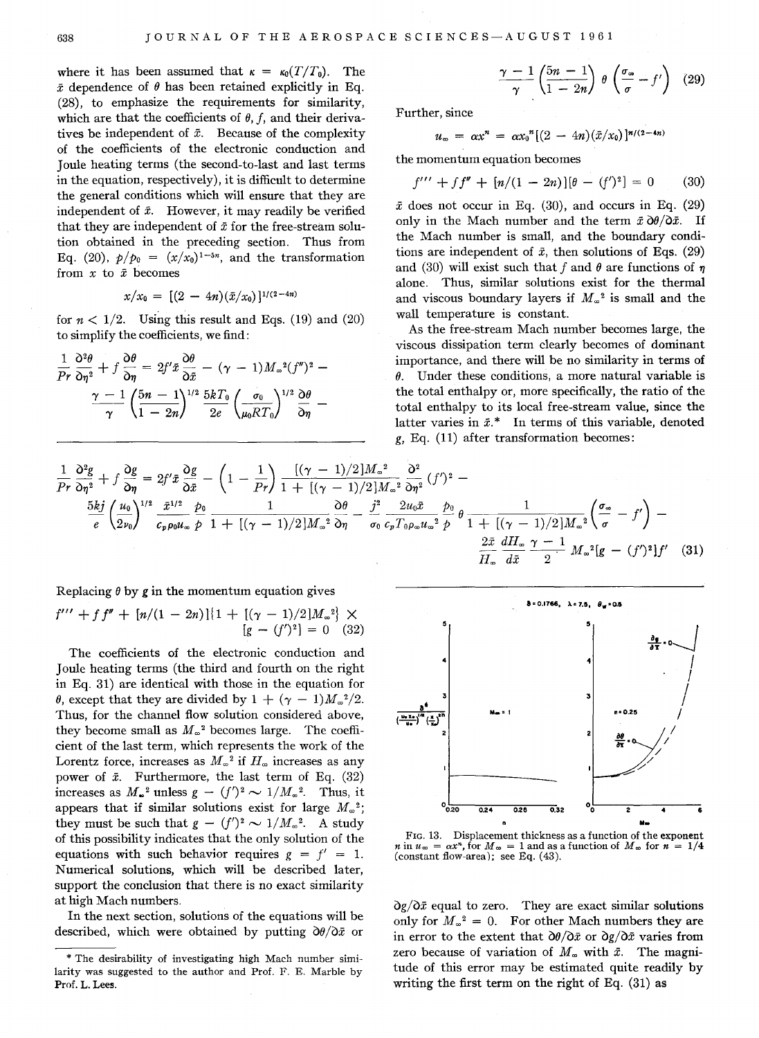where it has been assumed that  $\kappa = \kappa_0(T/T_0)$ . The  $\bar{x}$  dependence of  $\theta$  has been retained explicitly in Eq. (28), to emphasize the requirements for similarity, which are that the coefficients of  $\theta$ ,  $f$ , and their derivatives be independent of  $\bar{x}$ . Because of the complexity of the coefficients of the electronic conduction and Joule heating terms (the second-to-Iast and last terms in the equation, respectively), it is difficult to determine the general conditions which will ensure that they are independent of  $\bar{x}$ . However, it may readily be verified that they are independent of  $\bar{x}$  for the free-stream solution obtained in the preceding section. Thus from Eq. (20),  $p/p_0 = (x/x_0)^{1-5n}$ , and the transformation from *x* to *x* becomes

$$
x/x_0 = [(2 - 4n)(\bar{x}/x_0)]^{1/(2-4n)}
$$

for  $n < 1/2$ . Using this result and Eqs. (19) and (20) to simplify the coefficients, we find:

$$
\frac{1}{Pr} \frac{\partial^2 \theta}{\partial \eta^2} + f \frac{\partial \theta}{\partial \eta} = 2f' \bar{x} \frac{\partial \theta}{\partial \bar{x}} - (\gamma - 1) M_{\infty}{}^2 (f'')^2 - \frac{\gamma - 1}{\gamma} \left( \frac{5n - 1}{1 - 2n} \right)^{1/2} \frac{5kT_0}{2e} \left( \frac{\sigma_0}{\mu_0 RT_0} \right)^{1/2} \frac{\partial \theta}{\partial \eta} -
$$

$$
\frac{\gamma-1}{\gamma}\left(\frac{5n-1}{1-2n}\right)\,\theta\left(\frac{\sigma_{\infty}}{\sigma}-f'\right)\quad(29)
$$

Further, since

$$
u_{\infty} = \alpha x^{n} = \alpha x_{0}^{n} [(2 - 4n)(\bar{x}/x_{0})]^{n/(2-4n)}
$$

the momentum equation becomes

$$
f''' + ff'' + [n/(1 - 2n)][\theta - (f')^2] = 0 \qquad (30)
$$

 $\bar{x}$  does not occur in Eq. (30), and occurs in Eq. (29) only in the Mach number and the term  $\bar{x} \, \partial \theta / \partial \bar{x}$ . If the Mach number is small, and the boundary conditions are independent of  $\bar{x}$ , then solutions of Eqs. (29) and (30) will exist such that f and  $\theta$  are functions of  $\eta$ alone. Thus, similar solutions exist for the thermal and viscous boundary layers if  $M_{\infty}^2$  is small and the wall temperature is constant.

As the free-stream Mach number becomes large, the viscous dissipation term clearly becomes of dominant importance, and there will be no similarity in terms of  $\theta$ . Under these conditions, a more natural variable is the total enthalpy or, more specifically, the ratio of the total enthalpy to its local free-stream value, since the latter varies in  $\bar{x}$ .\* In terms of this variable, denoted g, Eq. (11) after transformation becomes:

$$
\frac{1}{Pr}\frac{\partial^2 g}{\partial \eta^2} + f \frac{\partial g}{\partial \eta} = 2f'\bar{x}\frac{\partial g}{\partial \bar{x}} - \left(1 - \frac{1}{Pr}\right)\frac{[(\gamma - 1)/2]M_{\infty}^2}{1 + [(\gamma - 1)/2]M_{\infty}^2} \frac{\partial^2}{\partial \eta^2} (f')^2 - \frac{5kj}{e} \left(\frac{u_0}{2\nu_0}\right)^{1/2} \frac{\bar{x}^{1/2}}{c_p \rho_0 u_{\infty}} \frac{\rho_0}{\rho} \frac{1}{1 + [(\gamma - 1)/2]M_{\infty}^2} \frac{\partial \theta}{\partial \eta} - \frac{j^2}{\sigma_0} \frac{2u_0 \bar{x}}{c_p T_0 \rho_{\infty} u_{\infty}^2} \frac{\rho_0}{\rho} \theta \frac{1}{1 + [(\gamma - 1)/2]M_{\infty}^2} \left(\frac{\sigma_{\infty}}{\sigma} - f'\right) - \frac{2\bar{x}}{H_{\infty}} \frac{dH_{\infty}}{d\bar{x}} \frac{\gamma - 1}{2} M_{\infty}^2 [g - (f')^2]f' \quad (31)
$$

Replacing  $\theta$  by  $\varrho$  in the momentum equation gives

$$
f''' + ff'' + [n/(1 - 2n)]{1 + [(\gamma - 1)/2]M_{\infty}^2} \times [g - (f')^2] = 0
$$
 (32)

The coefficients of the electronic conduction and Joule heating terms (the third and fourth on the right in Eq. 31) are identical with those in the equation for  $\theta$ , except that they are divided by  $1 + (\gamma - 1)M_{\infty}^2/2$ . Thus, for the channel flow solution considered above, they become small as  $M_{\infty}^2$  becomes large. The coefficient of the last term, which represents the work of the Lorentz force, increases as  $M_{\infty}^2$  if  $H_{\infty}$  increases as any power of  $\bar{x}$ . Furthermore, the last term of Eq. (32) increases as  $M_{\infty}^2$  unless  $g - (f')^2 \sim 1/M_{\infty}^2$ . Thus, it appears that if similar solutions exist for large  $M_{\infty}^2$ ; they must be such that  $g - (f')^2 \sim 1/M_{\infty}^2$ . A study of this possibility indicates that the only solution of the equations with such behavior requires  $g = f' = 1$ . Numerical solutions, which will be described later, support the conclusion that there is no exact similarity at high Mach numbers.

In the next section, solutions of the equations will be described, which were obtained by putting  $\partial \theta / \partial \bar{x}$  or



FIG. 13. Displacement thickness as a function of the exponent  $n \text{ in } u_{\infty} = \alpha x^{n}$ , for  $M_{\infty} = 1$  and as a function of  $M_{\infty}$  for  $n = 1/4$ (constant flow-area); see Eq.  $(43)$ .

 $\partial g / \partial \bar{x}$  equal to zero. They are exact similar solutions only for  $M_{\infty}^2 = 0$ . For other Mach numbers they are in error to the extent that  $\partial \theta / \partial \bar{x}$  or  $\partial g / \partial \bar{x}$  varies from zero because of variation of  $M_{\infty}$  with  $\bar{x}$ . The magnitude of this error may be estimated quite readily by writing the first term on the right of Eq. (31) as

<sup>\*</sup> The desirability of investigating high Mach number similarity was suggested to the author and Prof. F. E. Marble by Prof. L. Lees.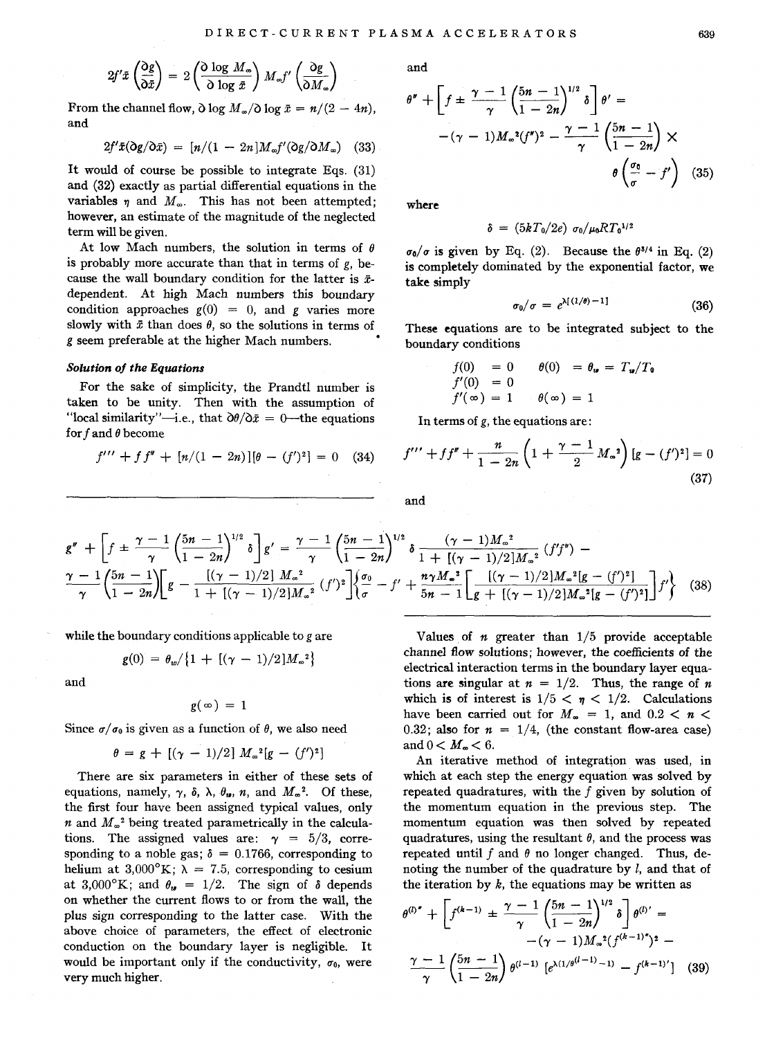$$
2f'\tilde{x}\left(\frac{\partial g}{\partial \tilde{x}}\right) = 2\left(\frac{\partial \log M_{\infty}}{\partial \log \tilde{x}}\right)M_{\infty}f'\left(\frac{\partial g}{\partial M_{\infty}}\right)
$$

From the channel flow,  $\partial \log M_{\infty}/\partial \log \bar{x} = n/(2 - 4n)$ , and

$$
2f'\bar{x}(\partial g/\partial \bar{x}) = [n/(1 - 2n)M_{\infty}f'(\partial g/\partial M_{\infty}) \quad (33)
$$

It would of course be possible to integrate Eqs. (31) and (32) exactly as partial differential equations in the variables  $\eta$  and  $M_{\infty}$ . This has not been attempted; however, an estimate of the magnitude of the neglected term will be given.

At low Mach numbers, the solution in terms of  $\theta$ is probably more accurate than that in terms of  $g$ , because the wall boundary condition for the latter is *x*dependent. At high Mach numbers this boundary condition approaches  $g(0) = 0$ , and g varies more slowly with  $\bar{x}$  than does  $\theta$ , so the solutions in terms of *g* seem preferable at the higher Mach numbers.

#### *Solution oj the Equations*

For the sake of simplicity, the Prandtl number is taken to be unity. Then with the assumption of "local similarity"-i.e., that  $\partial \theta / \partial \bar{x} = 0$ -the equations for f and  $\theta$  become

$$
f''' + f f'' + [n/(1 - 2n)][\theta - (f')^{2}] = 0
$$
 (34)

and

$$
\theta'' + \left[ f \pm \frac{\gamma - 1}{\gamma} \left( \frac{5n - 1}{1 - 2n} \right)^{1/2} \delta \right] \theta' =
$$
  
-(\gamma - 1)M<sub>∞</sub><sup>2</sup>(f'')<sup>2</sup> - \frac{\gamma - 1}{\gamma} \left( \frac{5n - 1}{1 - 2n} \right) \times  
\n\theta \left( \frac{\sigma\_0}{\sigma} - f' \right) (35)

where

$$
\delta = (5kT_0/2e) \sigma_0/\mu_0 RT_0^{1/2}
$$

 $\sigma_0/\sigma$  is given by Eq. (2). Because the  $\theta^{3/4}$  in Eq. (2) is completely dominated by the exponential factor, we take simply

$$
\sigma_0/\sigma = e^{\lambda[(1/\theta)-1]}
$$
 (36)

These equations are to be integrated subject to the boundary conditions

$$
f(0) = 0 \qquad \theta(0) = \theta_{\mathbf{u}} = T_{\mathbf{u}}/T_{\mathbf{0}}
$$

$$
f'(0) = 0
$$

$$
f'(\infty) = 1 \qquad \theta(\infty) = 1
$$

In terms of g, the equations are:

$$
f''' + ff'' + \frac{n}{1 - 2n} \left( 1 + \frac{\gamma - 1}{2} M_{\infty}^2 \right) \left[ g - (f')^2 \right] = 0
$$
\n(37)

$$
\quad\text{and}\quad
$$

$$
g'' + \left[f \pm \frac{\gamma - 1}{\gamma} \left(\frac{5n - 1}{1 - 2n}\right)^{1/2} \delta\right] g' = \frac{\gamma - 1}{\gamma} \left(\frac{5n - 1}{1 - 2n}\right)^{1/2} \delta \frac{(\gamma - 1)M_{\infty}^2}{1 + [(\gamma - 1)/2]M_{\infty}^2} (f'f'') - \frac{\gamma - 1}{\gamma} \left(\frac{5n - 1}{1 - 2n}\right) \left[g - \frac{[(\gamma - 1)/2]M_{\infty}^2}{1 + [(\gamma - 1)/2]M_{\infty}^2} (f')^2\right] \left\{\frac{\sigma_0}{\sigma} - f' + \frac{n\gamma M_{\infty}^2}{5n - 1} \left[\frac{[(\gamma - 1)/2]M_{\infty}^2[g - (f')^2]}{g + [(\gamma - 1)/2]M_{\infty}^2[g - (f')^2]}\right] f'\right\} (38)
$$

while the boundary conditions applicable to g are

$$
g(0) = \theta_w / \{1 + [(\gamma - 1)/2] M_w^2\}
$$

and

$$
g(\infty) = 1
$$

Since  $\sigma/\sigma_0$  is given as a function of  $\theta$ , we also need

$$
\theta = g + [(\gamma - 1)/2] M_{\infty}^{2} [g - (f')^{2}]
$$

There are six parameters in either of these sets of equations, namely,  $\gamma$ ,  $\delta$ ,  $\lambda$ ,  $\theta_u$ ,  $n$ , and  $M_{\infty}^2$ . Of these, the first four have been assigned typical values, only *n* and  $M_{\infty}^2$  being treated parametrically in the calculations. The assigned values are:  $\gamma = 5/3$ , corresponding to a noble gas;  $\delta = 0.1766$ , corresponding to helium at 3,000°K;  $\lambda = 7.5$ , corresponding to cesium at 3,000°K; and  $\theta_{\theta} = 1/2$ . The sign of  $\delta$  depends on whether the current flows to or from the wall, the plus sign corresponding to the latter case. With the above choice of parameters, the effect of electronic conduction on the boundary layer is negligible. It would be important only if the conductivity,  $\sigma_0$ , were very much higher.

Values of  $n$  greater than  $1/5$  provide acceptable channel flow solutions; however, the coefficients of the electrical interaction terms in the boundary layer equations are singular at  $n = 1/2$ . Thus, the range of *n* which is of interest is  $1/5 < \eta < 1/2$ . Calculations have been carried out for  $M_{\infty} = 1$ , and  $0.2 < n <$ 0.32; also for  $n = 1/4$ , (the constant flow-area case) and  $0 < M_{\infty} < 6$ .

An iterative method of integration was used, in which at each step the energy equation was solved by repeated quadratures, with the  $f$  given by solution of the momentum equation in the previous step. The momentum equation was then solved by repeated quadratures, using the resultant  $\theta$ , and the process was repeated until f and  $\theta$  no longer changed. Thus, denoting the number of the quadrature by  $l$ , and that of the iteration by  $k$ , the equations may be written as

$$
\theta^{(l)''} + \left[ f^{(k-1)} \pm \frac{\gamma - 1}{\gamma} \left( \frac{5n - 1}{1 - 2n} \right)^{1/2} \delta \right] \theta^{(l)'} =
$$
  
 
$$
- (\gamma - 1) M_{\infty}^{2} \left( f^{(k-1)''} \right)^{2} -
$$
  
 
$$
\frac{\gamma - 1}{\gamma} \left( \frac{5n - 1}{1 - 2n} \right) \theta^{(l-1)} \left[ e^{\lambda (1/\theta^{(l-1)} - 1)} - f^{(k-1)'} \right] \quad (39)
$$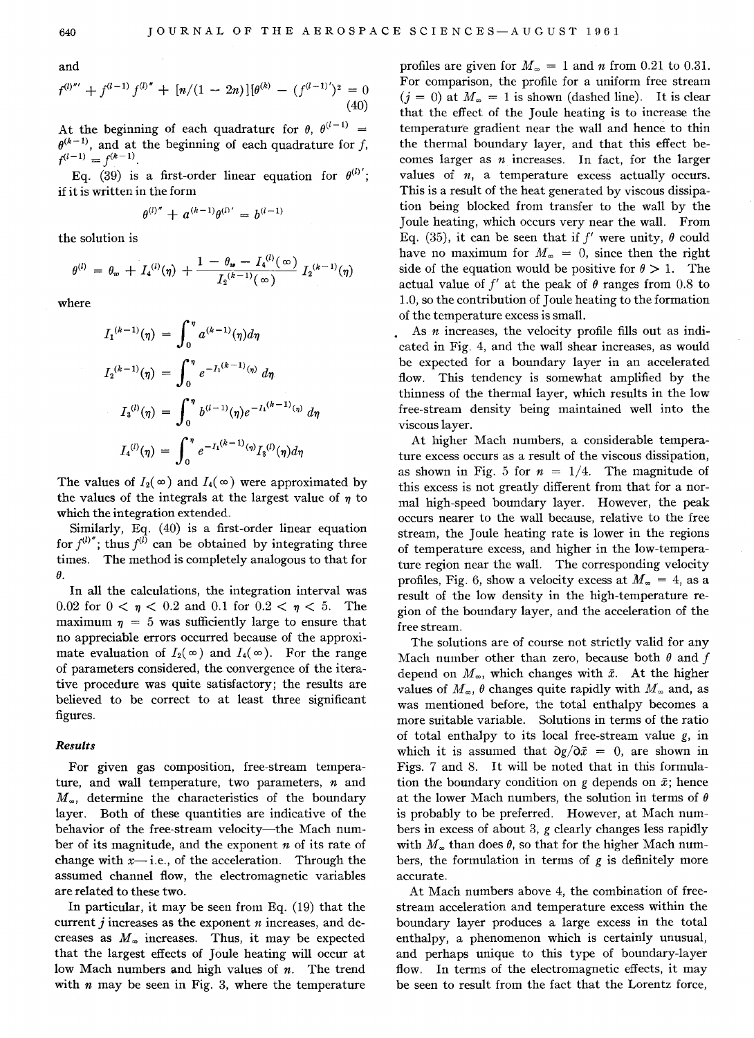and

$$
f^{(l)'''} + f^{(l-1)} f^{(l)''} + [n/(1-2n)][\theta^{(k)} - (f^{(l-1)'})^2 = 0
$$
\n(40)

At the beginning of each quadrature for  $\theta$ ,  $\theta^{(l-1)}$  =  $\theta^{(k-1)}$ , and at the beginning of each quadrature for *f*,  $f^{(l-1)} = f^{(k-1)}$ .

Eq. (39) is a first-order linear equation for  $\theta^{(l)}$ ; if it is written in the form

$$
\theta^{(l)''} + a^{(k-1)}\theta^{(l)'} = b^{(l-1)}
$$

the solution is

$$
\theta^{(l)} = \theta_w + I_4^{(l)}(\eta) + \frac{1 - \theta_w - I_4^{(l)}(\infty)}{I_2^{(k-1)}(\infty)} I_2^{(k-1)}(\eta)
$$

where

$$
I_1^{(k-1)}(\eta) = \int_0^{\eta} a^{(k-1)}(\eta) d\eta
$$
  
\n
$$
I_2^{(k-1)}(\eta) = \int_0^{\eta} e^{-I_1^{(k-1)}(\eta)} d\eta
$$
  
\n
$$
I_3^{(l)}(\eta) = \int_0^{\eta} b^{(l-1)}(\eta) e^{-I_1^{(k-1)}(\eta)} d\eta
$$
  
\n
$$
I_4^{(l)}(\eta) = \int_0^{\eta} e^{-I_1^{(k-1)}(\eta)} I_3^{(l)}(\eta) d\eta
$$

The values of  $I_2(\infty)$  and  $I_4(\infty)$  were approximated by the values of the integrals at the largest value of  $\eta$  to which the integration extended.

Similarly, Eq. (40) is a first-order linear equation for  $f^{(l)}$ ; thus  $f^{(l)}$  can be obtained by integrating three times. The method is completely analogous to that for  $\theta$ .

In all the calculations, the integration interval was 0.02 for  $0 < \eta < 0.2$  and 0.1 for  $0.2 < \eta < 5$ . The maximum  $\eta = 5$  was sufficiently large to ensure that no appreciable errors occurred because of the approximate evaluation of  $I_2(\infty)$  and  $I_4(\infty)$ . For the range of parameters considered, the convergence of the iterative procedure was quite satisfactory; the results are believed to be correct to at least three significant figures.

# *Results*

For given gas composition, free-stream temperature, and wall temperature, two parameters,  $n$  and  $M_{\infty}$ , determine the characteristics of the boundary layer. Both of these quantities are indicative of the behavior of the free-stream velocity-the Mach number of its magnitude, and the exponent *n* of its rate of change with  $x$ -i.e., of the acceleration. Through the assumed channel flow, the electromagnetic variables are related to these two.

In particular, it may be seen from Eq. (19) that the current j increases as the exponent *n* increases, and decreases as  $M_{\infty}$  increases. Thus, it may be expected that the largest effects of Joule heating will occur at low Mach numbers and high values of *n.* The trend with  $n$  may be seen in Fig. 3, where the temperature

profiles are given for  $M_{\infty} = 1$  and *n* from 0.21 to 0.31. For comparison, the profile for a uniform free stream  $(j = 0)$  at  $M_{\infty} = 1$  is shown (dashed line). It is clear that the effect of the Joule heating is to increase the temperature gradient near the wall and hence to thin the thermal boundary layer, and that this effect becomes larger as *n* increases. In fact, for the larger values of  $n$ , a temperature excess actually occurs. This is a result of the heat generated by viscous dissipation being blocked from transfer to the wall by the Joule heating, which occurs very near the wall. From Eq. (35), it can be seen that if  $f'$  were unity,  $\theta$  could have no maximum for  $M_{\infty} = 0$ , since then the right side of the equation would be positive for  $\theta > 1$ . The actual value of  $f'$  at the peak of  $\theta$  ranges from 0.8 to 1.0, so the contribution of Joule heating to the formation of the temperature excess is small.

As *n* increases, the velocity profile fills out as indicated in Fig. 4, and the wall shear increases, as would be expected for a boundary layer in an accelerated flow. This tendency is somewhat amplified by the thinness of the thermal layer, which results in the low free-stream density being maintained well into the viscous layer.

At higher Mach numbers, a considerable temperature excess occurs as a result of the viscous dissipation, as shown in Fig. 5 for  $n = 1/4$ . The magnitude of this excess is not greatly different from that for a normal high-speed boundary layer. However, the peak occurs nearer to the wall because, relative to the free stream, the Joule heating rate is lower in the regions of temperature excess, and higher in the low-temperature region near the wall. The corresponding velocity profiles, Fig. 6, show a velocity excess at  $M_{\infty} = 4$ , as a result of the low density in the high-temperature region of the boundary layer, and the acceleration of the free stream.

The solutions are of course not strictly valid for any Mach number other than zero, because both  $\theta$  and  $f$ depend on  $M_{\infty}$ , which changes with  $\bar{x}$ . At the higher values of  $M_{\infty}$ ,  $\theta$  changes quite rapidly with  $M_{\infty}$  and, as was mentioned before, the total enthalpy becomes a more suitable variable. Solutions in terms of the ratio of total enthalpy to its local free-stream value g, in which it is assumed that  $\partial g / \partial \bar{x} = 0$ , are shown in Figs. 7 and 8. It will be noted that in this formulation the boundary condition on  $g$  depends on  $\bar{x}$ ; hence at the lower Mach numbers, the solution in terms of *0*  is probably to be preferred. However, at Mach numbers in excess of about 3, *g* clearly changes less rapidly with  $M_{\infty}$  than does  $\theta$ , so that for the higher Mach numbers, the formulation in terms of g is definitely more accurate.

At Mach numbers above 4, the combination of freestream acceleration and temperature excess within the boundary layer produces a large excess in the total enthalpy, a phenomenon which is certainly unusual, and perhaps unique to this type of boundary-layer flow. In terms of the electromagnetic effects, it may be seen to result from the fact that the Lorentz force,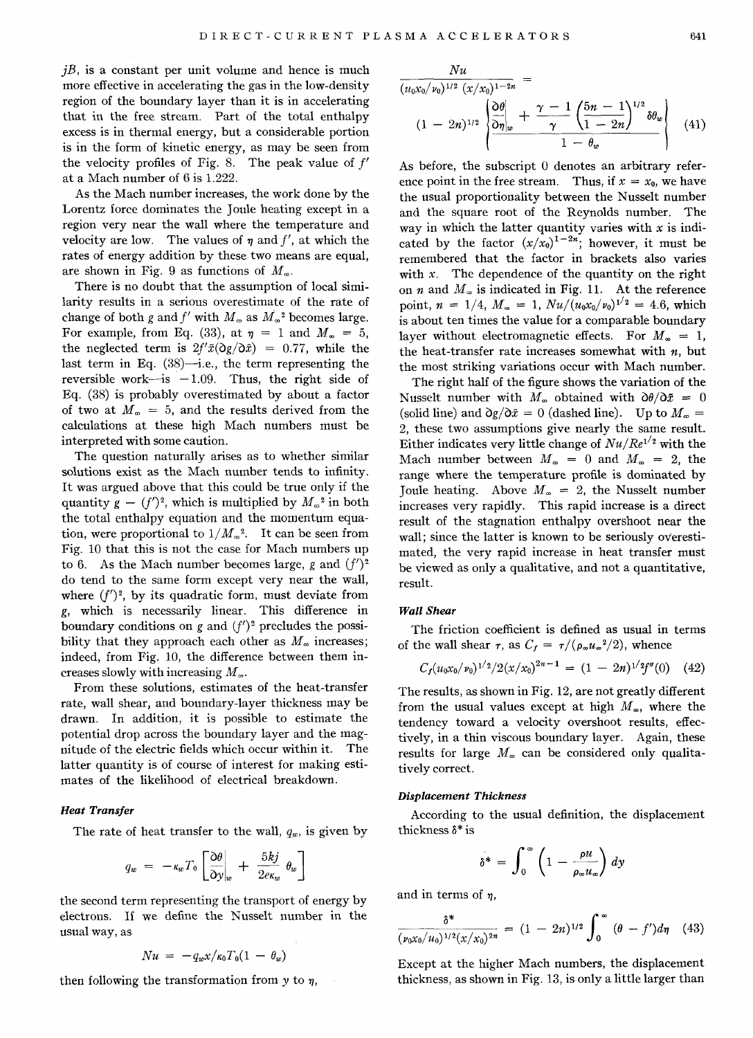$jB$ , is a constant per unit volume and hence is much more effective in accelerating the gas in the low-density region of the boundary layer than it is in accelerating that in the free stream. Part of the total enthalpy excess is in thermal energy, but a considerable portion is in the form of kinetic energy, as may be seen from the velocity profiles of Fig. 8. The peak value of  $f'$ at a Mach number of 6 is l.222.

As the Mach number increases, the work done by the Lorentz force dominates the Joule heating except in a region very near the wall where the temperature and velocity are low. The values of  $\eta$  and  $f'$ , at which the rates of energy addition by these two means are equal, are shown in Fig. 9 as functions of  $M_{\infty}$ .

There is no doubt that the assumption of local similarity results in a serious overestimate of the rate of change of both g and f' with  $M_{\infty}$  as  $M_{\infty}^2$  becomes large. For example, from Eq. (33), at  $\eta = 1$  and  $M_{\infty} = 5$ , the neglected term is  $2f' \bar{x} (Qg/\partial \bar{x}) = 0.77$ , while the last term in Eq.  $(38)$ —i.e., the term representing the reversible work-is  $-1.09$ . Thus, the right side of Eq. (38) is probably overestimated by about a factor of two at  $M_{\infty} = 5$ , and the results derived from the calculations at these high Mach numbers must be interpreted with some caution.

The question naturally arises as to whether similar solutions exist as the Mach number tends to infinity. It was argued above that this could be true only if the quantity  $g - (f')^2$ , which is multiplied by  $M_{\infty}^2$  in both the total enthalpy equation and the momentum equation, were proportional to  $1/M_{\infty}^2$ . It can be seen from Fig. 10 that this is not the case for Mach numbers up to 6. As the Mach number becomes large, g and  $(f')^2$ do tend to the same form except very near the wall, where  $(f')^2$ , by its quadratic form, must deviate from g, which is necessarily linear. This difference in boundary conditions on g and *(f')2* precludes the possibility that they approach each other as  $M_{\infty}$  increases; indeed, from Fig. 10, the difference between them increases slowly with increasing  $M_{\infty}$ .

From these solutions, estimates of the heat-transfer rate, wall shear, and boundary-layer thickness may be drawn. In addition, it is possible to estimate the potential drop across the boundary layer and the magnitude of the electric fields which occur within it. The latter quantity is of course of interest for making estimates of the likelihood of electrical breakdown.

## *Heat Transfer*

The rate of heat transfer to the wall, *qw,* is given by

$$
q_w = -\kappa_w T_0 \left[ \frac{\partial \theta}{\partial y} \bigg|_w + \frac{5kj}{2\epsilon_{\kappa_w}} \theta_w \right]
$$

the second term representing the transport of energy by electrons. If we define the Nusselt number in the usual way, as

$$
Nu = -q_w x/\kappa_0 T_0 (1 - \theta_w)
$$

then following the transformation from  $y$  to  $\eta$ ,

$$
\frac{Nu}{(u_0x_0/\nu_0)^{1/2} (x/x_0)^{1-2n}} =
$$
\n
$$
(1 - 2n)^{1/2} \left\{\n\frac{\partial \theta}{\partial \eta|_w} + \frac{\gamma - 1}{\gamma} \left(\frac{5n - 1}{1 - 2n}\right)^{1/2} \delta \theta_w\n\right\}
$$
\n
$$
(41)
$$

As before, the subscript 0 denotes an arbitrary reference point in the free stream. Thus, if  $x = x_0$ , we have the usual proportionality between the Nusselt number and the square root of the Reynolds number. The way in which the latter quantity varies with *x* is indicated by the factor  $(x/x_0)^{1-2n}$ ; however, it must be remembered that the factor in brackets also varies with  $x$ . The dependence of the quantity on the right on  $n$  and  $M_{\infty}$  is indicated in Fig. 11. At the reference point,  $n = 1/4$ ,  $M_{\infty} = 1$ ,  $Nu/(u_0x_0/\nu_0)^{1/2} = 4.6$ , which is about ten times the value for a comparable boundary layer without electromagnetic effects. For  $M_{\infty} = 1$ , the heat-transfer rate increases somewhat with *n,* but the most striking variations occur with Mach number.

The right half of the figure shows the variation of the Nusselt number with  $M_{\infty}$  obtained with  $\partial \theta / \partial \bar{x} = 0$ (solid line) and  $\partial g / \partial \bar{x} = 0$  (dashed line). Up to  $M_{\infty} =$ 2, these two assumptions give nearly the same result. Either indicates very little change of  $Nu/Re^{1/2}$  with the Mach number between  $M_{\infty} = 0$  and  $M_{\infty} = 2$ , the range where the temperature profile is dominated by Joule heating. Above  $M_{\infty} = 2$ , the Nusselt number increases very rapidly. This rapid increase is a direct result of the stagnation enthalpy overshoot near the wall; since the latter is known to be seriously overestimated, the very rapid increase in heat transfer must be viewed as only a qualitative, and not a quantitative, result.

### *Wall Shear*

The friction coefficient is defined as usual in terms of the wall shear  $\tau$ , as  $C_f = \tau/(\rho_{\infty}u_{\infty}^2/2)$ , whence

$$
C_f(u_0x_0/\nu_0)^{1/2}/2(x/x_0)^{2n-1} = (1-2n)^{1/2}f''(0)
$$
 (42)

The results, as shown in Fig. 12, are not greatly different from the usual values except at high  $M_{\infty}$ , where the tendency toward a velocity overshoot results, effectively, in a thin viscous boundary layer. Again, these results for large  $M_{\infty}$  can be considered only qualitatively correct.

## *Displacement Thickness*

According to the usual definition, the displacement thickness  $\delta^*$  is

$$
\delta^* = \int_0^\infty \left(1 - \frac{\rho u}{\rho_\infty u_\infty}\right) dy
$$

and in terms of  $\eta$ ,

$$
\frac{\delta^*}{(\nu_0 x_0/u_0)^{1/2} (x/x_0)^{2n}} = (1 - 2n)^{1/2} \int_0^\infty (\theta - f') d\eta \quad (43)
$$

Except at the higher Mach numbers, the displacement thickness, as shown in Fig. 13, is only a little larger than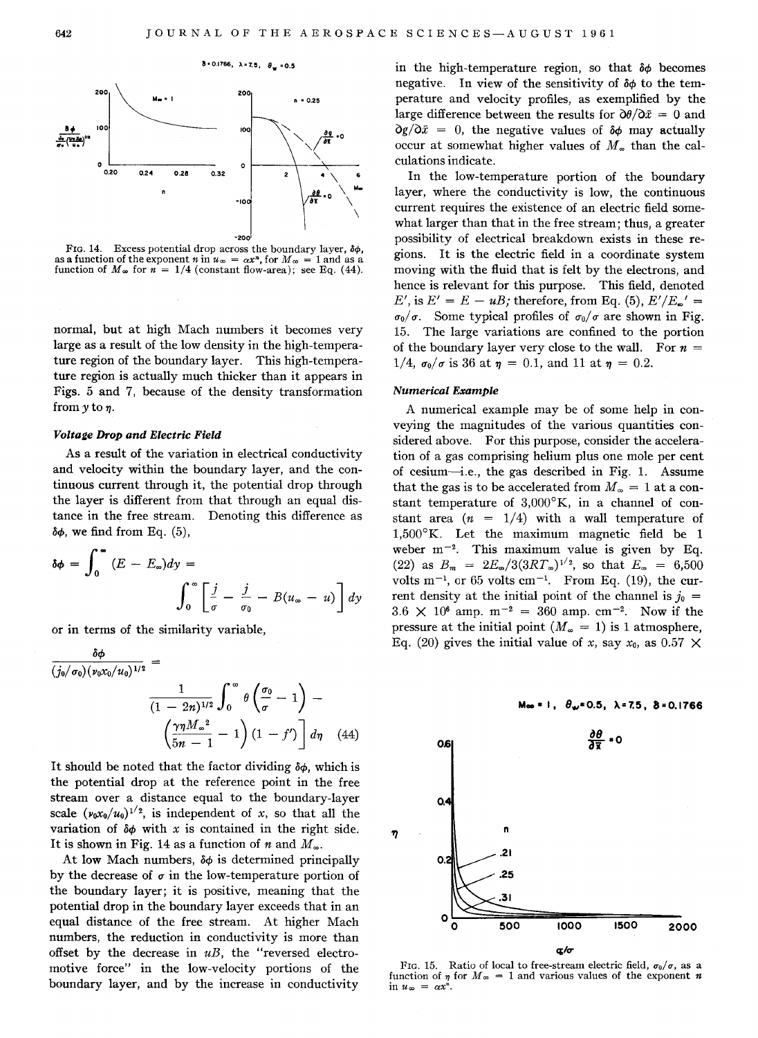

8 = 0.1766,  $\lambda = 7.5$ ,  $\theta_w = 0.5$ 

FIG. 14. Excess potential drop across the boundary layer,  $\delta\phi$ , as a function of the exponent *n* in  $u_{\infty} = \alpha x^n$ , for  $M_{\infty} = 1$  and as a function of  $M_{\infty}$  for  $n = 1/4$  (constant flow-area); see Eq. (44).

normal, but at high Mach numbers it becomes very large as a result of the low density in the high-temperature region of the boundary layer. This high-temperature region is actually much thicker than it appears in Figs. 5 and 7, because of the density transformation from  $y$  to  $\eta$ .

## Voltage Drop and Electric Field

As a result of the variation in electrical conductivity and velocity within the boundary layer, and the continuous current through it, the potential drop through the layer is different from that through an equal distance in the free stream. Denoting this difference as  $\delta\phi$ , we find from Eq. (5),

$$
\delta \phi = \int_0^\infty (E - E_\infty) dy = \int_0^\infty \left[ \frac{j}{\sigma} - \frac{j}{\sigma_0} - B(u_\infty - u) \right] dy
$$

or in terms of the similarity variable,

 $\ddot{\phantom{0}}$ 

$$
\frac{\sigma\phi}{(j_0/\sigma_0)(\nu_0\chi_0/u_0)^{1/2}} = \frac{1}{(1-2n)^{1/2}} \int_0^\infty \theta\left(\frac{\sigma_0}{\sigma} - 1\right) - \left(\frac{\gamma\eta M_\infty^2}{5n-1} - 1\right)(1-f') \, d\eta \quad (44)
$$

It should be noted that the factor dividing  $\delta\phi$ , which is the potential drop at the reference point in the free stream over a distance equal to the boundary-layer scale  $(\nu_0 x_0/u_0)^{1/2}$ , is independent of *x*, so that all the variation of  $\delta \phi$  with *x* is contained in the right side. It is shown in Fig. 14 as a function of *n* and  $M_{\infty}$ .

At low Mach numbers,  $\delta\phi$  is determined principally by the decrease of  $\sigma$  in the low-temperature portion of the boundary layer; it is positive, meaning that the potential drop in the boundary layer exceeds that in an equal distance of the free stream. At higher Mach numbers, the reduction in conductivity is more than offset by the decrease in *uB,* the "reversed electromotive force" in the low-velocity portions of the boundary layer, and by the increase in conductivity

in the high-temperature region, so that  $\delta\phi$  becomes negative. In view of the sensitivity of  $\delta\phi$  to the temperature and velocity profiles, as exemplified by the large difference between the results for  $\partial \theta / \partial \bar{x} = 0$  and  $\partial g / \partial \bar{x} = 0$ , the negative values of  $\delta \phi$  may actually occur at somewhat higher values of  $M_{\infty}$  than the calculations indicate.

In the low-temperature portion of the boundary layer, where the conductivity is low, the continuous current requires the existence of an electric field somewhat larger than that in the free stream; thus, a greater possibility of electrical breakdown exists in these regions. It is the electric field in a coordinate system moving with the fluid that is felt by the electrons, and hence is relevant for this purpose. This field, denoted  $E'$ , is  $E' = E - uB$ ; therefore, from Eq. (5),  $E'/E_{\omega}' =$  $\sigma_0/\sigma$ . Some typical profiles of  $\sigma_0/\sigma$  are shown in Fig. 15. The large variations are confined to the portion of the boundary layer very close to the wall. For  $n =$  $1/4$ ,  $\sigma_0/\sigma$  is 36 at  $\eta = 0.1$ , and 11 at  $\eta = 0.2$ .

#### Numerical Example

A numerical example may be of some help in conveying the magnitudes of the various quantities considered above. For this purpose, consider the acceleration of a gas comprising helium plus one mole per cent of cesium-i.e., the gas described in Fig. 1. Assume that the gas is to be accelerated from  $M_{\infty} = 1$  at a constant temperature of  $3,000^{\circ}$ K, in a channel of constant area  $(n = 1/4)$  with a wall temperature of  $1,500^{\circ}$ K. Let the maximum magnetic field be 1 weber  $m^{-2}$ . This maximum value is given by Eq. (22) as  $B_m = 2E_{\infty}/3(3RT_{\infty})^{1/2}$ , so that  $E_{\infty} = 6,500$ volts  $m^{-1}$ , or 65 volts cm<sup>-1</sup>. From Eq. (19), the current density at the initial point of the channel is  $j_0 =$  $3.6 \times 10^6$  amp.  $m^{-2} = 360$  amp.  $cm^{-2}$ . Now if the pressure at the initial point  $(M_{\infty} = 1)$  is 1 atmosphere, Eq. (20) gives the initial value of *x*, say  $x_0$ , as 0.57  $\times$ 



 $M_{\infty}$  = 1,  $\theta_{\infty}$ = 0.5,  $\lambda$ = 7.5,  $\delta$  = 0.1766

FIG. 15. Ratio of local to free-stream electric field,  $\sigma_0/\sigma$ , as a function of  $\eta$  for  $M_{\infty} = 1$  and various values of the exponent *n* in  $u_{\infty} = \alpha x^n$ .